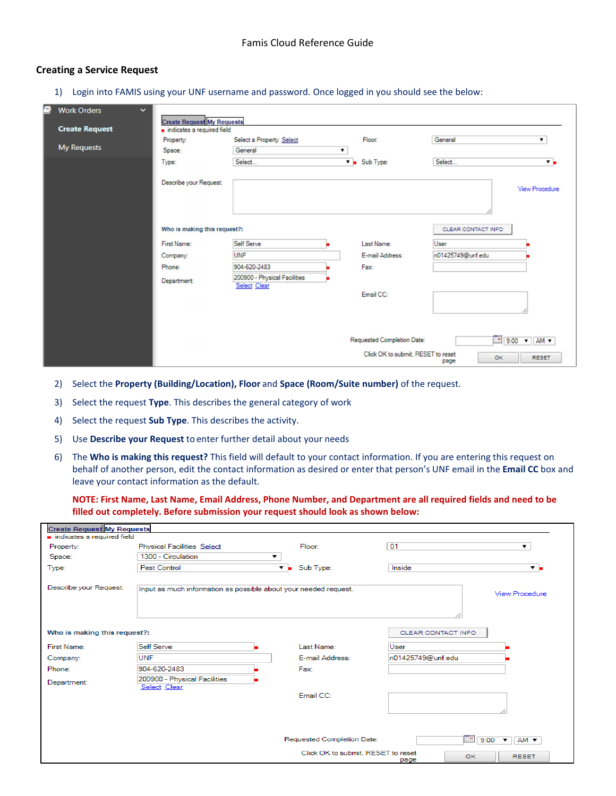## **Creating a Service Request**

1) Login into FAMIS using your UNF username and password. Once logged in you should see the below:

| ø | <b>Work Orders</b><br>$\checkmark$ |                                                                 |                                              |   |                                    |                    |                                       |
|---|------------------------------------|-----------------------------------------------------------------|----------------------------------------------|---|------------------------------------|--------------------|---------------------------------------|
|   | <b>Create Request</b>              | <b>Create Request My Requests</b><br>indicates a required field |                                              |   |                                    |                    |                                       |
|   |                                    | Property:                                                       | Select a Property Select                     |   | Floor:                             | General            | ▼                                     |
|   | <b>My Requests</b>                 | Space:                                                          | General                                      | ▼ |                                    |                    |                                       |
|   |                                    | Type:                                                           | Select                                       |   | $\nabla$ <b>B</b> Sub Type:        | Select             | $\mathbf{v}$                          |
|   |                                    | Describe your Request:                                          |                                              |   |                                    |                    | <b>View Procedure</b>                 |
|   |                                    | Who is making this request?:                                    |                                              |   |                                    | CLEAR CONTACT INFO |                                       |
|   |                                    | First Name:                                                     | Self Serve                                   |   | Last Name:                         | User               |                                       |
|   |                                    | Company:                                                        | UNF                                          |   | E-mail Address:                    | n01425749@unf.edu  |                                       |
|   |                                    | Phone:                                                          | 904-620-2483                                 |   | Fax:                               |                    |                                       |
|   |                                    | Department:                                                     | 200900 - Physical Facilities<br>Select Clear |   |                                    |                    |                                       |
|   |                                    |                                                                 |                                              |   | Email CC:                          |                    |                                       |
|   |                                    |                                                                 |                                              |   |                                    |                    |                                       |
|   |                                    |                                                                 |                                              |   | Requested Completion Date:         |                    | $\boxed{9.00}$ $\sqrt{}$ AM $\sqrt{}$ |
|   |                                    |                                                                 |                                              |   | Click OK to submit. RESET to reset | OK<br>page         | <b>RESET</b>                          |

- 2) Select the **Property (Building/Location), Floor** and **Space (Room/Suite number)** of the request.
- 3) Select the request **Type**. This describes the general category of work
- 4) Select the request **Sub Type**. This describes the activity.
- 5) Use **Describe your Request** to enter further detail about your needs
- 6) The **Who is making this request?** This field will default to your contact information. If you are entering this request on behalf of another person, edit the contact information as desired or enter that person's UNF email in the **Email CC** box and leave your contact information as the default.

**NOTE: First Name, Last Name, Email Address, Phone Number, and Department are all required fields and need to be filled out completely. Before submission your request should look as shown below:**

| <b>Create Request My Requests</b> |                                                                  |                                    |                                            |  |  |  |
|-----------------------------------|------------------------------------------------------------------|------------------------------------|--------------------------------------------|--|--|--|
| indicates a required field        |                                                                  |                                    |                                            |  |  |  |
| Property:                         | Physical Facilities Select                                       | Floor:                             | 01<br>۰.                                   |  |  |  |
| Space:                            | 1300 - Circulation<br>▼                                          |                                    |                                            |  |  |  |
| Type:                             | Pest Control                                                     | $\mathbf{v}$ = Sub Type:           | Inside<br>▼ ⊨                              |  |  |  |
|                                   |                                                                  |                                    |                                            |  |  |  |
| Describe your Request:            | Input as much information as possible about your needed request. |                                    | View Procedure                             |  |  |  |
|                                   |                                                                  |                                    |                                            |  |  |  |
|                                   |                                                                  |                                    |                                            |  |  |  |
|                                   |                                                                  |                                    |                                            |  |  |  |
| Who is making this request?:      |                                                                  |                                    | CLEAR CONTACT INFO                         |  |  |  |
| First Name:                       | Self Serve                                                       | Last Name:                         | User                                       |  |  |  |
| Company:                          | <b>UNF</b>                                                       | E-mail Address:                    | n01425749@unf.edu                          |  |  |  |
| Phone:                            | 904-620-2483                                                     | Fax:                               |                                            |  |  |  |
| Department:                       | 200900 - Physical Facilities                                     |                                    |                                            |  |  |  |
|                                   | Select Clear                                                     | Email CC:                          |                                            |  |  |  |
|                                   |                                                                  |                                    |                                            |  |  |  |
|                                   |                                                                  |                                    |                                            |  |  |  |
|                                   |                                                                  |                                    |                                            |  |  |  |
|                                   |                                                                  |                                    |                                            |  |  |  |
|                                   |                                                                  | Requested Completion Date:         | ℡<br>9:00<br>$\bullet$ $\Box$ AM $\bullet$ |  |  |  |
|                                   |                                                                  | Click OK to submit. RESET to reset | OK.<br><b>RESET</b>                        |  |  |  |
|                                   |                                                                  |                                    | page                                       |  |  |  |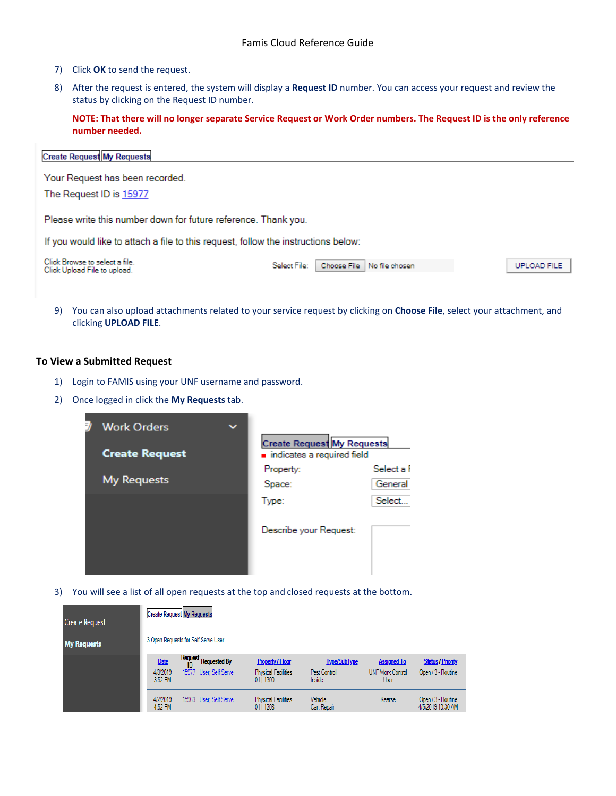- 7) Click **OK** to send the request.
- 8) After the request is entered, the system will display a **Request ID** number. You can access your request and review the status by clicking on the Request ID number.

**NOTE: That there will no longer separate Service Request or Work Order numbers. The Request ID is the only reference number needed.** 

| <b>Create Request My Requests</b> |
|-----------------------------------|
|                                   |

Your Request has been recorded.

The Request ID is 15977

Please write this number down for future reference. Thank you.

If you would like to attach a file to this request, follow the instructions below:

Click Browse to select a file.<br>Click Upload File to upload.

Select File: Choose File No file chosen UPLOAD FILE

9) You can also upload attachments related to your service request by clicking on **Choose File**, select your attachment, and clicking **UPLOAD FILE**.

## **To View a Submitted Request**

- 1) Login to FAMIS using your UNF username and password.
- 2) Once logged in click the **My Requests** tab.



3) You will see a list of all open requests at the top and closed requests at the bottom.

| <b>Create Request</b> | <b>Create Request My Requests</b>  |                                                |                                                                    |                                               |                                                       |                                                |
|-----------------------|------------------------------------|------------------------------------------------|--------------------------------------------------------------------|-----------------------------------------------|-------------------------------------------------------|------------------------------------------------|
| <b>My Requests</b>    |                                    | 3 Open Requests for Self Serve User            |                                                                    |                                               |                                                       |                                                |
|                       | <b>Date</b><br>4/8/2019<br>3:52 PM | Request Requested By<br>15977 User, Self Serve | <b>Property / Floor</b><br><b>Physical Facilities</b><br>01   1300 | <b>Type/SubType</b><br>Pest Control<br>Inside | <b>Assigned To</b><br><b>UNF Work Control</b><br>User | <b>Status / Priority</b><br>Open / 3 - Routine |
|                       | 4/2/2019<br>4:52 PM                | 15963 User, Self Serve                         | <b>Physical Facilities</b><br>01   1208                            | Vehicle<br>Cart Repair                        | Kearse                                                | Open / 3 - Routine<br>4/5/2019 10:30 AM        |